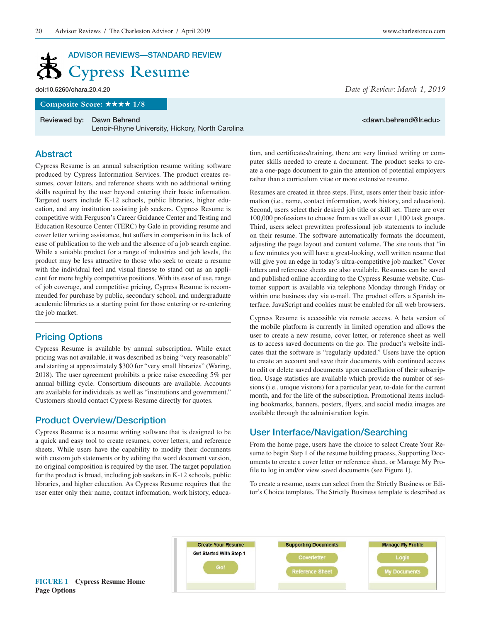# ADVISOR REVIEWS—STANDARD REVIEW **Cypress Resume**

### **Composite Score:**  $\star \star \star \star 1/8$

Reviewed by: Dawn Behrend Communication of the extension of the extension of the extension of the extension of the extension of the extension of the extension of the extension of the extension of the extension of the exten Lenoir-Rhyne University, Hickory, North Carolina

# Abstract

Cypress Resume is an annual subscription resume writing software produced by Cypress Information Services. The product creates resumes, cover letters, and reference sheets with no additional writing skills required by the user beyond entering their basic information. Targeted users include K-12 schools, public libraries, higher education, and any institution assisting job seekers. Cypress Resume is competitive with Ferguson's Career Guidance Center and Testing and Education Resource Center (TERC) by Gale in providing resume and cover letter writing assistance, but suffers in comparison in its lack of ease of publication to the web and the absence of a job search engine. While a suitable product for a range of industries and job levels, the product may be less attractive to those who seek to create a resume with the individual feel and visual finesse to stand out as an applicant for more highly competitive positions. With its ease of use, range of job coverage, and competitive pricing, Cypress Resume is recommended for purchase by public, secondary school, and undergraduate academic libraries as a starting point for those entering or re-entering the job market.

# Pricing Options

Cypress Resume is available by annual subscription. While exact pricing was not available, it was described as being "very reasonable" and starting at approximately \$300 for "very small libraries" (Waring, 2018). The user agreement prohibits a price raise exceeding 5% per annual billing cycle. Consortium discounts are available. Accounts are available for individuals as well as "institutions and government." Customers should contact Cypress Resume directly for quotes.

# Product Overview/Description

Cypress Resume is a resume writing software that is designed to be a quick and easy tool to create resumes, cover letters, and reference sheets. While users have the capability to modify their documents with custom job statements or by editing the word document version, no original composition is required by the user. The target population for the product is broad, including job seekers in K-12 schools, public libraries, and higher education. As Cypress Resume requires that the user enter only their name, contact information, work history, educa-

doi:10.5260/chara.20.4.20 *Date of Review: March 1, 2019*

tion, and certificates/training, there are very limited writing or computer skills needed to create a document. The product seeks to create a one-page document to gain the attention of potential employers rather than a curriculum vitae or more extensive resume.

Resumes are created in three steps. First, users enter their basic information (i.e., name, contact information, work history, and education). Second, users select their desired job title or skill set. There are over 100,000 professions to choose from as well as over 1,100 task groups. Third, users select prewritten professional job statements to include on their resume. The software automatically formats the document, adjusting the page layout and content volume. The site touts that "in a few minutes you will have a great-looking, well written resume that will give you an edge in today's ultra-competitive job market." Cover letters and reference sheets are also available. Resumes can be saved and published online according to the Cypress Resume website. Customer support is available via telephone Monday through Friday or within one business day via e-mail. The product offers a Spanish interface. JavaScript and cookies must be enabled for all web browsers.

Cypress Resume is accessible via remote access. A beta version of the mobile platform is currently in limited operation and allows the user to create a new resume, cover letter, or reference sheet as well as to access saved documents on the go. The product's website indicates that the software is "regularly updated." Users have the option to create an account and save their documents with continued access to edit or delete saved documents upon cancellation of their subscription. Usage statistics are available which provide the number of sessions (i.e., unique visitors) for a particular year, to-date for the current month, and for the life of the subscription. Promotional items including bookmarks, banners, posters, flyers, and social media images are available through the administration login.

# User Interface/Navigation/Searching

From the home page, users have the choice to select Create Your Resume to begin Step 1 of the resume building process, Supporting Documents to create a cover letter or reference sheet, or Manage My Profile to log in and/or view saved documents (see Figure 1).

To create a resume, users can select from the Strictly Business or Editor's Choice templates. The Strictly Business template is described as



**FIGURE 1 Cypress Resume Home Page Options**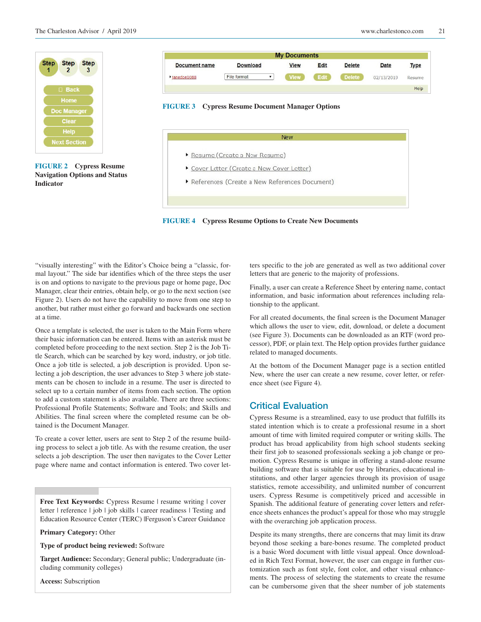

**FIGURE 2 Cypress Resume Navigation Options and Status Indicator**

**My Documents Document name** Edit **Download View Delete Date Type** File format  $\blacktriangleright$  janedoe1088 Edit **Delete** 02/13/2019 Resume Help





**FIGURE 4 Cypress Resume Options to Create New Documents**

"visually interesting" with the Editor's Choice being a "classic, formal layout." The side bar identifies which of the three steps the user is on and options to navigate to the previous page or home page, Doc Manager, clear their entries, obtain help, or go to the next section (see Figure 2). Users do not have the capability to move from one step to another, but rather must either go forward and backwards one section at a time.

Once a template is selected, the user is taken to the Main Form where their basic information can be entered. Items with an asterisk must be completed before proceeding to the next section. Step 2 is the Job Title Search, which can be searched by key word, industry, or job title. Once a job title is selected, a job description is provided. Upon selecting a job description, the user advances to Step 3 where job statements can be chosen to include in a resume. The user is directed to select up to a certain number of items from each section. The option to add a custom statement is also available. There are three sections: Professional Profile Statements; Software and Tools; and Skills and Abilities. The final screen where the completed resume can be obtained is the Document Manager.

To create a cover letter, users are sent to Step 2 of the resume building process to select a job title. As with the resume creation, the user selects a job description. The user then navigates to the Cover Letter page where name and contact information is entered. Two cover let-

Free Text Keywords: Cypress Resume | resume writing | cover letter | reference | job | job skills | career readiness | Testing and Education Resource Center (TERC) |Ferguson's Career Guidance

**Primary Category:** Other

**Type of product being reviewed:** Software

**Target Audience:** Secondary; General public; Undergraduate (including community colleges)

**Access:** Subscription

ters specific to the job are generated as well as two additional cover letters that are generic to the majority of professions.

Finally, a user can create a Reference Sheet by entering name, contact information, and basic information about references including relationship to the applicant.

For all created documents, the final screen is the Document Manager which allows the user to view, edit, download, or delete a document (see Figure 3). Documents can be downloaded as an RTF (word processor), PDF, or plain text. The Help option provides further guidance related to managed documents.

At the bottom of the Document Manager page is a section entitled New, where the user can create a new resume, cover letter, or reference sheet (see Figure 4).

# Critical Evaluation

Cypress Resume is a streamlined, easy to use product that fulfills its stated intention which is to create a professional resume in a short amount of time with limited required computer or writing skills. The product has broad applicability from high school students seeking their first job to seasoned professionals seeking a job change or promotion. Cypress Resume is unique in offering a stand-alone resume building software that is suitable for use by libraries, educational institutions, and other larger agencies through its provision of usage statistics, remote accessibility, and unlimited number of concurrent users. Cypress Resume is competitively priced and accessible in Spanish. The additional feature of generating cover letters and reference sheets enhances the product's appeal for those who may struggle with the overarching job application process.

Despite its many strengths, there are concerns that may limit its draw beyond those seeking a bare-bones resume. The completed product is a basic Word document with little visual appeal. Once downloaded in Rich Text Format, however, the user can engage in further customization such as font style, font color, and other visual enhancements. The process of selecting the statements to create the resume can be cumbersome given that the sheer number of job statements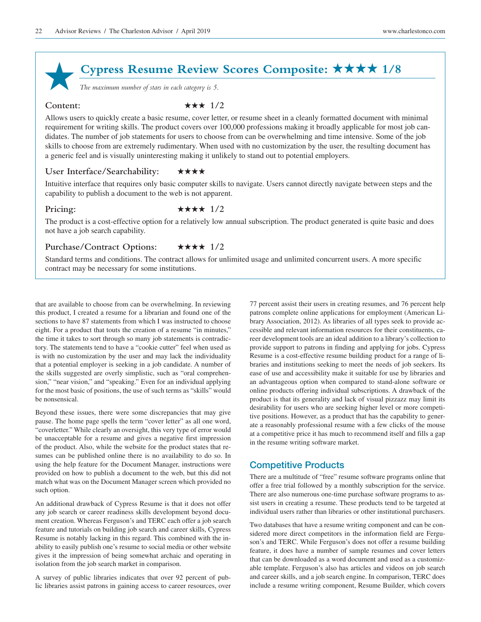# **Cypress Resume Review Scores Composite:**  $\star \star \star \star 1/8$

*The maximum number of stars in each category is 5.*

# Content:  $\star \star \star 1/2$

Allows users to quickly create a basic resume, cover letter, or resume sheet in a cleanly formatted document with minimal requirement for writing skills. The product covers over 100,000 professions making it broadly applicable for most job candidates. The number of job statements for users to choose from can be overwhelming and time intensive. Some of the job skills to choose from are extremely rudimentary. When used with no customization by the user, the resulting document has a generic feel and is visually uninteresting making it unlikely to stand out to potential employers.

### User Interface/Searchability:  $\star \star \star \star$

Intuitive interface that requires only basic computer skills to navigate. Users cannot directly navigate between steps and the capability to publish a document to the web is not apparent.

Pricing:  $\star \star \star \star 1/2$ 

The product is a cost-effective option for a relatively low annual subscription. The product generated is quite basic and does not have a job search capability.

## **Purchase/Contract Options:**  $\star \star \star \star 1/2$

Standard terms and conditions. The contract allows for unlimited usage and unlimited concurrent users. A more specific contract may be necessary for some institutions.

that are available to choose from can be overwhelming. In reviewing this product, I created a resume for a librarian and found one of the sections to have 87 statements from which I was instructed to choose eight. For a product that touts the creation of a resume "in minutes," the time it takes to sort through so many job statements is contradictory. The statements tend to have a "cookie cutter" feel when used as is with no customization by the user and may lack the individuality that a potential employer is seeking in a job candidate. A number of the skills suggested are overly simplistic, such as "oral comprehension," "near vision," and "speaking." Even for an individual applying for the most basic of positions, the use of such terms as "skills" would be nonsensical.

Beyond these issues, there were some discrepancies that may give pause. The home page spells the term "cover letter" as all one word, "coverletter." While clearly an oversight, this very type of error would be unacceptable for a resume and gives a negative first impression of the product. Also, while the website for the product states that resumes can be published online there is no availability to do so. In using the help feature for the Document Manager, instructions were provided on how to publish a document to the web, but this did not match what was on the Document Manager screen which provided no such option.

An additional drawback of Cypress Resume is that it does not offer any job search or career readiness skills development beyond document creation. Whereas Ferguson's and TERC each offer a job search feature and tutorials on building job search and career skills, Cypress Resume is notably lacking in this regard. This combined with the inability to easily publish one's resume to social media or other website gives it the impression of being somewhat archaic and operating in isolation from the job search market in comparison.

A survey of public libraries indicates that over 92 percent of public libraries assist patrons in gaining access to career resources, over 77 percent assist their users in creating resumes, and 76 percent help patrons complete online applications for employment (American Library Association, 2012). As libraries of all types seek to provide accessible and relevant information resources for their constituents, career development tools are an ideal addition to a library's collection to provide support to patrons in finding and applying for jobs. Cypress Resume is a cost-effective resume building product for a range of libraries and institutions seeking to meet the needs of job seekers. Its ease of use and accessibility make it suitable for use by libraries and an advantageous option when compared to stand-alone software or online products offering individual subscriptions. A drawback of the product is that its generality and lack of visual pizzazz may limit its desirability for users who are seeking higher level or more competitive positions. However, as a product that has the capability to generate a reasonably professional resume with a few clicks of the mouse at a competitive price it has much to recommend itself and fills a gap in the resume writing software market.

# Competitive Products

There are a multitude of "free" resume software programs online that offer a free trial followed by a monthly subscription for the service. There are also numerous one-time purchase software programs to assist users in creating a resume. These products tend to be targeted at individual users rather than libraries or other institutional purchasers.

Two databases that have a resume writing component and can be considered more direct competitors in the information field are Ferguson's and TERC. While Ferguson's does not offer a resume building feature, it does have a number of sample resumes and cover letters that can be downloaded as a word document and used as a customizable template. Ferguson's also has articles and videos on job search and career skills, and a job search engine. In comparison, TERC does include a resume writing component, Resume Builder, which covers